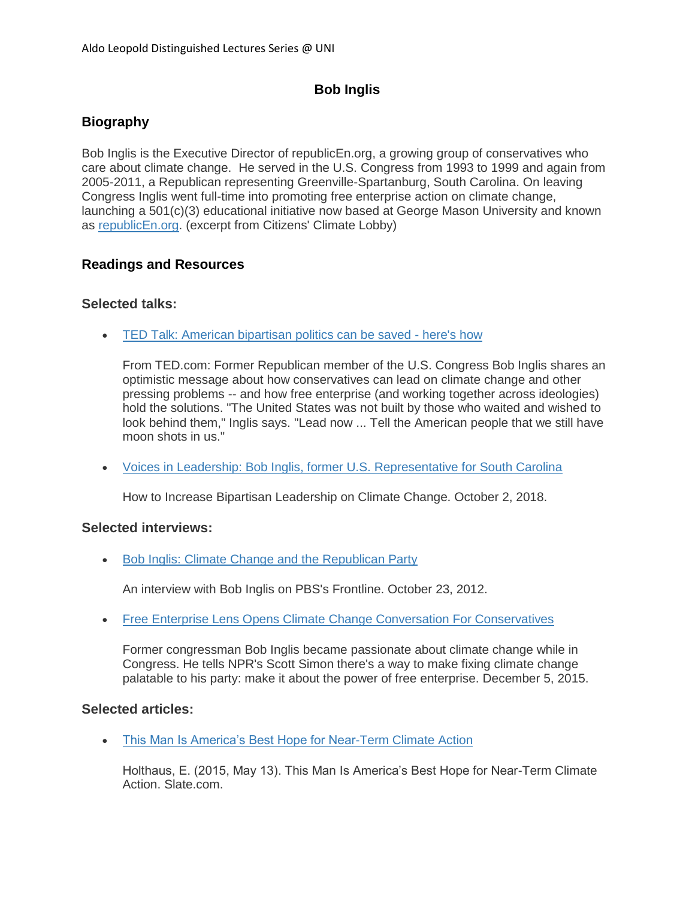# **Bob Inglis**

# **Biography**

Bob Inglis is the Executive Director of republicEn.org, a growing group of conservatives who care about climate change. He served in the U.S. Congress from 1993 to 1999 and again from 2005-2011, a Republican representing Greenville-Spartanburg, South Carolina. On leaving Congress Inglis went full-time into promoting free enterprise action on climate change, launching a 501(c)(3) educational initiative now based at George Mason University and known as [republicEn.org.](http://www.republicen.org/) (excerpt from Citizens' Climate Lobby)

## **Readings and Resources**

### **Selected talks:**

[TED Talk: American bipartisan politics can be saved -](https://www.ted.com/talks/bob_inglis_american_bipartisan_politics_can_be_saved_here_s_how) here's how

From TED.com: Former Republican member of the U.S. Congress Bob Inglis shares an optimistic message about how conservatives can lead on climate change and other pressing problems -- and how free enterprise (and working together across ideologies) hold the solutions. "The United States was not built by those who waited and wished to look behind them," Inglis says. "Lead now ... Tell the American people that we still have moon shots in us."

• [Voices in Leadership: Bob Inglis, former U.S. Representative for South Carolina](https://www.hsph.harvard.edu/voices/events/bob-inglis-former-u-s-representative-for-south-carolina/)

How to Increase Bipartisan Leadership on Climate Change. October 2, 2018.

### **Selected interviews:**

• [Bob Inglis: Climate Change and the Republican Party](https://www.pbs.org/wgbh/frontline/article/bob-inglis-climate-change-and-the-republican-party/)

An interview with Bob Inglis on PBS's Frontline. October 23, 2012.

• [Free Enterprise Lens Opens Climate Change Conversation For Conservatives](https://www.npr.org/2015/12/05/458573039/free-enterprise-lens-opens-climate-change-conversation-for-conservatives)

Former congressman Bob Inglis became passionate about climate change while in Congress. He tells NPR's Scott Simon there's a way to make fixing climate change palatable to his party: make it about the power of free enterprise. December 5, 2015.

### **Selected articles:**

[This Man Is America's Best Hope for Near-Term Climate Action](https://slate.com/technology/2015/05/republican-bob-inglis-is-americas-best-hope-for-near-term-climate-action.html)

Holthaus, E. (2015, May 13). This Man Is America's Best Hope for Near-Term Climate Action. Slate.com.